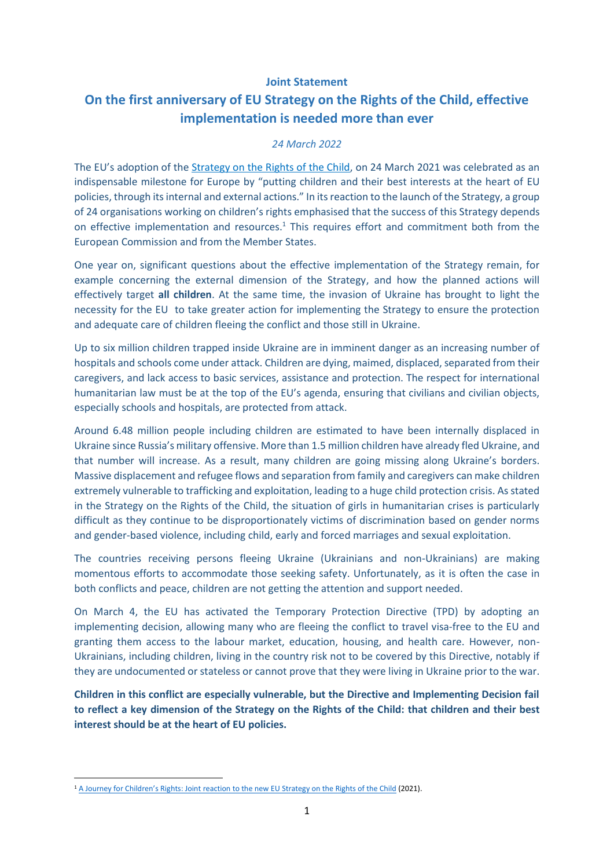## **Joint Statement**

## **On the first anniversary of EU Strategy on the Rights of the Child, effective implementation is needed more than ever**

## *24 March 2022*

The EU's adoption of the [Strategy on the Rights of the Child,](https://eur-lex.europa.eu/legal-content/EN/TXT/?uri=CELEX:52021DC0142) on 24 March 2021 was celebrated as an indispensable milestone for Europe by "putting children and their best interests at the heart of EU policies, through its internal and external actions." In its reaction to the launch of the Strategy, a group of 24 organisations working on children's rights emphasised that the success of this Strategy depends on effective implementation and resources.<sup>1</sup> This requires effort and commitment both from the European Commission and from the Member States.

One year on, significant questions about the effective implementation of the Strategy remain, for example concerning the external dimension of the Strategy, and how the planned actions will effectively target **all children**. At the same time, the invasion of Ukraine has brought to light the necessity for the EU to take greater action for implementing the Strategy to ensure the protection and adequate care of children fleeing the conflict and those still in Ukraine.

Up to six million children trapped inside Ukraine are in imminent danger as an increasing number of hospitals and schools come under attack. Children are dying, maimed, displaced, separated from their caregivers, and lack access to basic services, assistance and protection. The respect for international humanitarian law must be at the top of the EU's agenda, ensuring that civilians and civilian objects, especially schools and hospitals, are protected from attack.

Around 6.48 million people including children are estimated to have been internally displaced in Ukraine since Russia's military offensive. More than 1.5 million children have already fled Ukraine, and that number will increase. As a result, many children are going missing along Ukraine's borders. Massive displacement and refugee flows and separation from family and caregivers can make children extremely vulnerable to trafficking and exploitation, leading to a huge child protection crisis. As stated in the Strategy on the Rights of the Child, the situation of girls in humanitarian crises is particularly difficult as they continue to be disproportionately victims of discrimination based on gender norms and gender-based violence, including child, early and forced marriages and sexual exploitation.

The countries receiving persons fleeing Ukraine (Ukrainians and non-Ukrainians) are making momentous efforts to accommodate those seeking safety. Unfortunately, as it is often the case in both conflicts and peace, children are not getting the attention and support needed.

On March 4, the EU has activated the Temporary Protection Directive (TPD) by adopting an implementing decision, allowing many who are fleeing the conflict to travel visa-free to the EU and granting them access to the labour market, education, housing, and health care. However, non-Ukrainians, including children, living in the country risk not to be covered by this Directive, notably if they are undocumented or stateless or cannot prove that they were living in Ukraine prior to the war.

**Children in this conflict are especially vulnerable, but the Directive and Implementing Decision fail to reflect a key dimension of the Strategy on the Rights of the Child: that children and their best interest should be at the heart of EU policies.** 

<sup>1</sup> [A Journey for Children's Rights: Joint reaction to the new EU Strategy on the Rights of the Child](https://picum.org/wp-content/uploads/2021/07/A-journey-for-childrens-rights_Joint-reaction-to-the-new-EU-Strategy-on-the-Rights-of-the-Child.pdf) (2021).